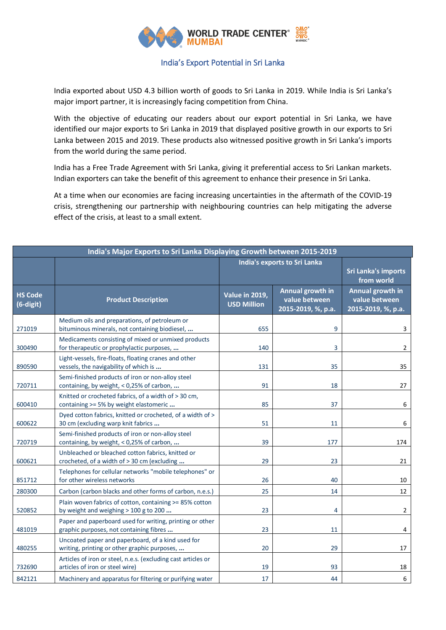

## India's Export Potential in Sri Lanka

India exported about USD 4.3 billion worth of goods to Sri Lanka in 2019. While India is Sri Lanka's major import partner, it is increasingly facing competition from China.

With the objective of educating our readers about our export potential in Sri Lanka, we have identified our major exports to Sri Lanka in 2019 that displayed positive growth in our exports to Sri Lanka between 2015 and 2019. These products also witnessed positive growth in Sri Lanka's imports from the world during the same period.

India has a Free Trade Agreement with Sri Lanka, giving it preferential access to Sri Lankan markets. Indian exporters can take the benefit of this agreement to enhance their presence in Sri Lanka.

At a time when our economies are facing increasing uncertainties in the aftermath of the COVID-19 crisis, strengthening our partnership with neighbouring countries can help mitigating the adverse effect of the crisis, at least to a small extent.

| India's Major Exports to Sri Lanka Displaying Growth between 2015-2019 |                                                                                                     |                                      |                                                         |                                                         |
|------------------------------------------------------------------------|-----------------------------------------------------------------------------------------------------|--------------------------------------|---------------------------------------------------------|---------------------------------------------------------|
|                                                                        |                                                                                                     | India's exports to Sri Lanka         |                                                         | <b>Sri Lanka's imports</b><br>from world                |
| <b>HS Code</b><br>(6-digit)                                            | <b>Product Description</b>                                                                          | Value in 2019,<br><b>USD Million</b> | Annual growth in<br>value between<br>2015-2019, %, p.a. | Annual growth in<br>value between<br>2015-2019, %, p.a. |
| 271019                                                                 | Medium oils and preparations, of petroleum or<br>bituminous minerals, not containing biodiesel,     | 655                                  | 9                                                       | 3                                                       |
| 300490                                                                 | Medicaments consisting of mixed or unmixed products<br>for therapeutic or prophylactic purposes,    | 140                                  | 3                                                       | $\overline{2}$                                          |
| 890590                                                                 | Light-vessels, fire-floats, floating cranes and other<br>vessels, the navigability of which is      | 131                                  | 35                                                      | 35                                                      |
| 720711                                                                 | Semi-finished products of iron or non-alloy steel<br>containing, by weight, < 0,25% of carbon,      | 91                                   | 18                                                      | 27                                                      |
| 600410                                                                 | Knitted or crocheted fabrics, of a width of > 30 cm,<br>containing >= 5% by weight elastomeric      | 85                                   | 37                                                      | 6                                                       |
| 600622                                                                 | Dyed cotton fabrics, knitted or crocheted, of a width of ><br>30 cm (excluding warp knit fabrics    | 51                                   | 11                                                      | 6                                                       |
| 720719                                                                 | Semi-finished products of iron or non-alloy steel<br>containing, by weight, < 0,25% of carbon,      | 39                                   | 177                                                     | 174                                                     |
| 600621                                                                 | Unbleached or bleached cotton fabrics, knitted or<br>crocheted, of a width of > 30 cm (excluding    | 29                                   | 23                                                      | 21                                                      |
| 851712                                                                 | Telephones for cellular networks "mobile telephones" or<br>for other wireless networks              | 26                                   | 40                                                      | 10                                                      |
| 280300                                                                 | Carbon (carbon blacks and other forms of carbon, n.e.s.)                                            | 25                                   | 14                                                      | 12                                                      |
| 520852                                                                 | Plain woven fabrics of cotton, containing >= 85% cotton<br>by weight and weighing > 100 g to 200    | 23                                   | $\overline{4}$                                          | $\overline{2}$                                          |
| 481019                                                                 | Paper and paperboard used for writing, printing or other<br>graphic purposes, not containing fibres | 23                                   | 11                                                      | 4                                                       |
| 480255                                                                 | Uncoated paper and paperboard, of a kind used for<br>writing, printing or other graphic purposes,   | 20                                   | 29                                                      | 17                                                      |
| 732690                                                                 | Articles of iron or steel, n.e.s. (excluding cast articles or<br>articles of iron or steel wire)    | 19                                   | 93                                                      | 18                                                      |
| 842121                                                                 | Machinery and apparatus for filtering or purifying water                                            | 17                                   | 44                                                      | 6                                                       |